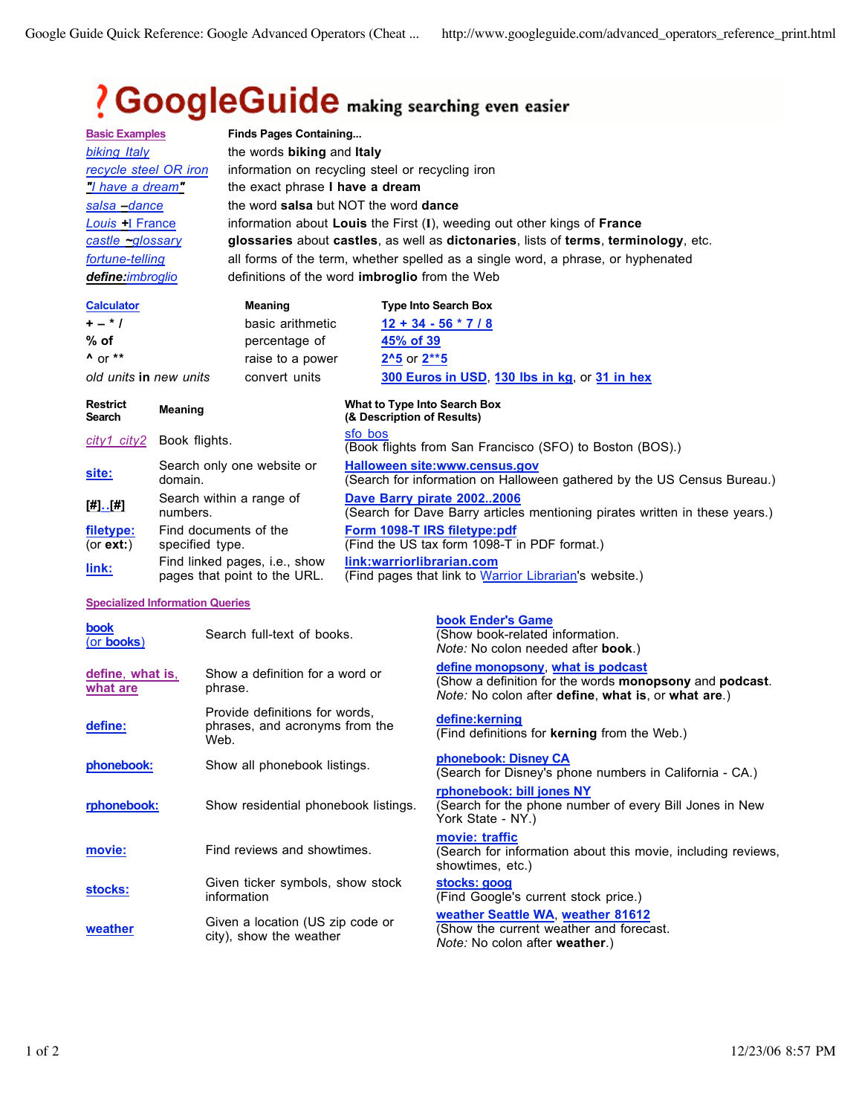## ? GoogleGuide making searching even easier

|                           |                                          | <b>Finds Pages Containing</b>                                                       |                                                                                                                 |  |  |  |  |
|---------------------------|------------------------------------------|-------------------------------------------------------------------------------------|-----------------------------------------------------------------------------------------------------------------|--|--|--|--|
| <b>Basic Examples</b>     |                                          |                                                                                     |                                                                                                                 |  |  |  |  |
| biking Italy              |                                          |                                                                                     | the words <b>biking</b> and <b>Italy</b>                                                                        |  |  |  |  |
| recycle steel OR iron     |                                          | information on recycling steel or recycling iron                                    |                                                                                                                 |  |  |  |  |
| "I have a dream"          |                                          | the exact phrase I have a dream                                                     |                                                                                                                 |  |  |  |  |
| salsa - dance             |                                          | the word salsa but NOT the word dance                                               |                                                                                                                 |  |  |  |  |
| <b>Louis</b> H France     |                                          | information about Louis the First (I), weeding out other kings of France            |                                                                                                                 |  |  |  |  |
| castle <u>~glossary</u>   |                                          | glossaries about castles, as well as dictonaries, lists of terms, terminology, etc. |                                                                                                                 |  |  |  |  |
| fortune-telling           |                                          | all forms of the term, whether spelled as a single word, a phrase, or hyphenated    |                                                                                                                 |  |  |  |  |
| define:imbroglio          |                                          | definitions of the word imbroglio from the Web                                      |                                                                                                                 |  |  |  |  |
| <b>Calculator</b>         |                                          | <b>Meaning</b>                                                                      | <b>Type Into Search Box</b>                                                                                     |  |  |  |  |
| $+ - * /$                 |                                          | basic arithmetic                                                                    | $12 + 34 - 56 * 7 / 8$                                                                                          |  |  |  |  |
| $%$ of                    |                                          | percentage of                                                                       | 45% of 39                                                                                                       |  |  |  |  |
| $^{\prime}$ or $**$       |                                          | raise to a power                                                                    | $2^{\wedge}5$ or $2^{**}5$                                                                                      |  |  |  |  |
| old units in new units    |                                          | convert units                                                                       | 300 Euros in USD, 130 lbs in kg, or 31 in hex                                                                   |  |  |  |  |
| <b>Restrict</b><br>Search | <b>Meaning</b>                           |                                                                                     | What to Type Into Search Box<br>(& Description of Results)                                                      |  |  |  |  |
| city1 city2               | Book flights.                            |                                                                                     | sfo bos<br>(Book flights from San Francisco (SFO) to Boston (BOS).)                                             |  |  |  |  |
| site:                     | Search only one website or<br>domain.    |                                                                                     | <b>Halloween site:www.census.gov</b><br>(Search for information on Halloween gathered by the US Census Bureau.) |  |  |  |  |
| $[#] \cdot [#]$           | Search within a range of<br>numbers.     |                                                                                     | Dave Barry pirate 20022006<br>(Search for Dave Barry articles mentioning pirates written in these years.)       |  |  |  |  |
| filetype:<br>(or $ext:$ ) | Find documents of the<br>specified type. |                                                                                     | Form 1098-T IRS filetype:pdf<br>(Find the US tax form 1098-T in PDF format.)                                    |  |  |  |  |

**link:warriorlibrarian.com**

(Find pages that link to Warrior Librarian's website.)

pages that point to the URL.

Find linked pages, i.e., show

**link:**

**Specialized Information Queries**

| book<br>(or books)           | Search full-text of books.                                               | book Ender's Game<br>(Show book-related information.<br><i>Note:</i> No colon needed after <b>book</b> .)                                                                         |
|------------------------------|--------------------------------------------------------------------------|-----------------------------------------------------------------------------------------------------------------------------------------------------------------------------------|
| define, what is,<br>what are | Show a definition for a word or<br>phrase.                               | define monopsony, what is podcast<br>(Show a definition for the words <b>monopsony</b> and <b>podcast</b> .<br><i>Note:</i> No colon after <b>define</b> , what is, or what are.) |
| define:                      | Provide definitions for words,<br>phrases, and acronyms from the<br>Web. | define:kerning<br>(Find definitions for <b>kerning</b> from the Web.)                                                                                                             |
| phonebook:                   | Show all phonebook listings.                                             | phonebook: Disney CA<br>(Search for Disney's phone numbers in California - CA.)                                                                                                   |
| rphonebook:                  | Show residential phonebook listings.                                     | rphonebook: bill jones NY<br>(Search for the phone number of every Bill Jones in New<br>York State - NY.)                                                                         |
| movie:                       | Find reviews and showtimes.                                              | movie: traffic<br>(Search for information about this movie, including reviews,<br>showtimes, etc.)                                                                                |
| stocks:                      | Given ticker symbols, show stock<br>information                          | stocks: goog<br>(Find Google's current stock price.)                                                                                                                              |
| weather                      | Given a location (US zip code or<br>city), show the weather              | weather Seattle WA, weather 81612<br>(Show the current weather and forecast.<br><i>Note:</i> No colon after <b>weather</b> .)                                                     |